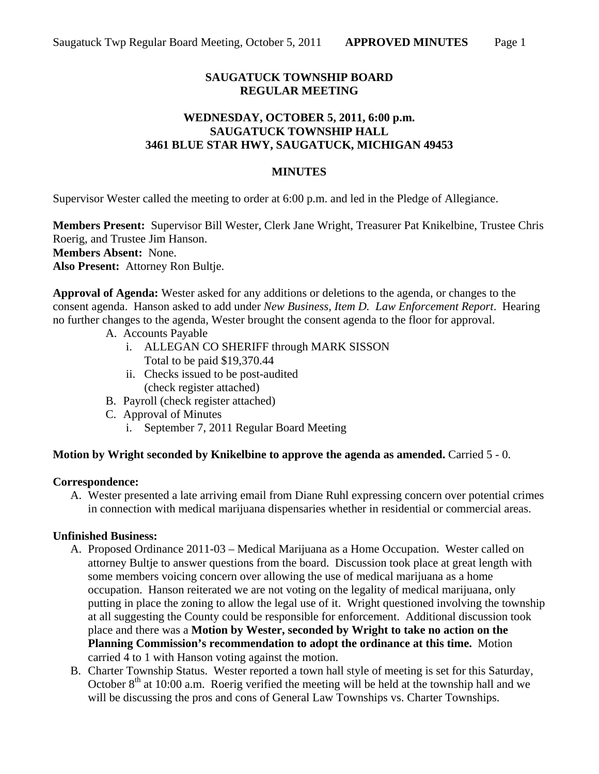# **SAUGATUCK TOWNSHIP BOARD REGULAR MEETING**

## **WEDNESDAY, OCTOBER 5, 2011, 6:00 p.m. SAUGATUCK TOWNSHIP HALL 3461 BLUE STAR HWY, SAUGATUCK, MICHIGAN 49453**

### **MINUTES**

Supervisor Wester called the meeting to order at 6:00 p.m. and led in the Pledge of Allegiance.

**Members Present:** Supervisor Bill Wester, Clerk Jane Wright, Treasurer Pat Knikelbine, Trustee Chris Roerig, and Trustee Jim Hanson. **Members Absent:** None. **Also Present:** Attorney Ron Bultje.

**Approval of Agenda:** Wester asked for any additions or deletions to the agenda, or changes to the consent agenda. Hanson asked to add under *New Business, Item D. Law Enforcement Report*. Hearing no further changes to the agenda, Wester brought the consent agenda to the floor for approval.

- A. Accounts Payable
	- i. ALLEGAN CO SHERIFF through MARK SISSON Total to be paid \$19,370.44
	- ii. Checks issued to be post-audited (check register attached)
- B. Payroll (check register attached)
- C. Approval of Minutes
	- i. September 7, 2011 Regular Board Meeting

### **Motion by Wright seconded by Knikelbine to approve the agenda as amended.** Carried 5 - 0.

#### **Correspondence:**

A. Wester presented a late arriving email from Diane Ruhl expressing concern over potential crimes in connection with medical marijuana dispensaries whether in residential or commercial areas.

### **Unfinished Business:**

- A. Proposed Ordinance 2011-03 Medical Marijuana as a Home Occupation. Wester called on attorney Bultje to answer questions from the board. Discussion took place at great length with some members voicing concern over allowing the use of medical marijuana as a home occupation. Hanson reiterated we are not voting on the legality of medical marijuana, only putting in place the zoning to allow the legal use of it. Wright questioned involving the township at all suggesting the County could be responsible for enforcement. Additional discussion took place and there was a **Motion by Wester, seconded by Wright to take no action on the Planning Commission's recommendation to adopt the ordinance at this time.** Motion carried 4 to 1 with Hanson voting against the motion.
- B. Charter Township Status. Wester reported a town hall style of meeting is set for this Saturday, October  $8<sup>th</sup>$  at 10:00 a.m. Roerig verified the meeting will be held at the township hall and we will be discussing the pros and cons of General Law Townships vs. Charter Townships.